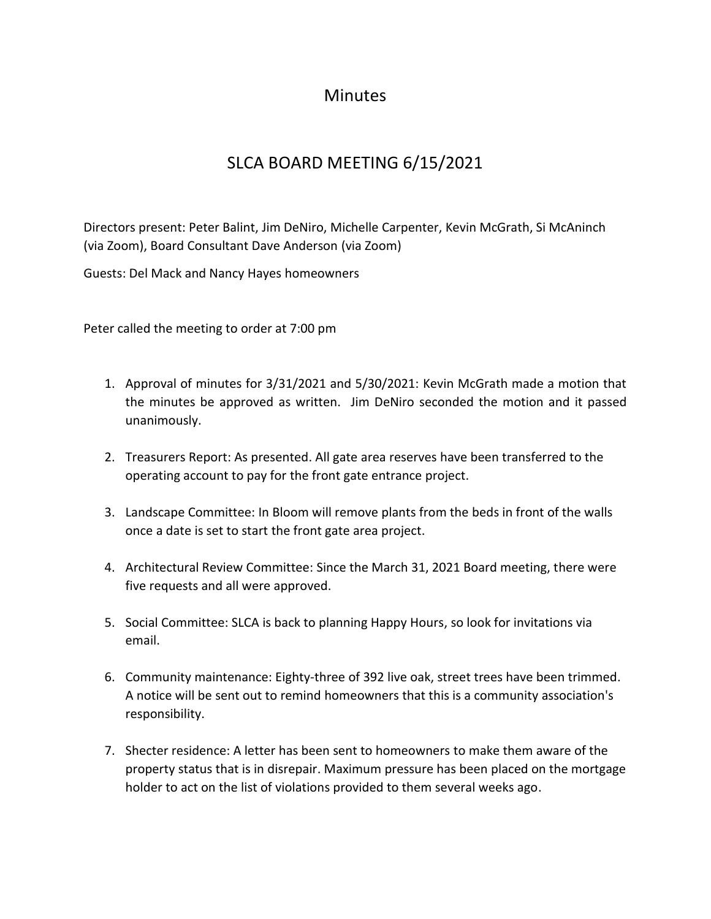## **Minutes**

## SLCA BOARD MEETING 6/15/2021

Directors present: Peter Balint, Jim DeNiro, Michelle Carpenter, Kevin McGrath, Si McAninch (via Zoom), Board Consultant Dave Anderson (via Zoom)

Guests: Del Mack and Nancy Hayes homeowners

Peter called the meeting to order at 7:00 pm

- 1. Approval of minutes for 3/31/2021 and 5/30/2021: Kevin McGrath made a motion that the minutes be approved as written. Jim DeNiro seconded the motion and it passed unanimously.
- 2. Treasurers Report: As presented. All gate area reserves have been transferred to the operating account to pay for the front gate entrance project.
- 3. Landscape Committee: In Bloom will remove plants from the beds in front of the walls once a date is set to start the front gate area project.
- 4. Architectural Review Committee: Since the March 31, 2021 Board meeting, there were five requests and all were approved.
- 5. Social Committee: SLCA is back to planning Happy Hours, so look for invitations via email.
- 6. Community maintenance: Eighty-three of 392 live oak, street trees have been trimmed. A notice will be sent out to remind homeowners that this is a community association's responsibility.
- 7. Shecter residence: A letter has been sent to homeowners to make them aware of the property status that is in disrepair. Maximum pressure has been placed on the mortgage holder to act on the list of violations provided to them several weeks ago.